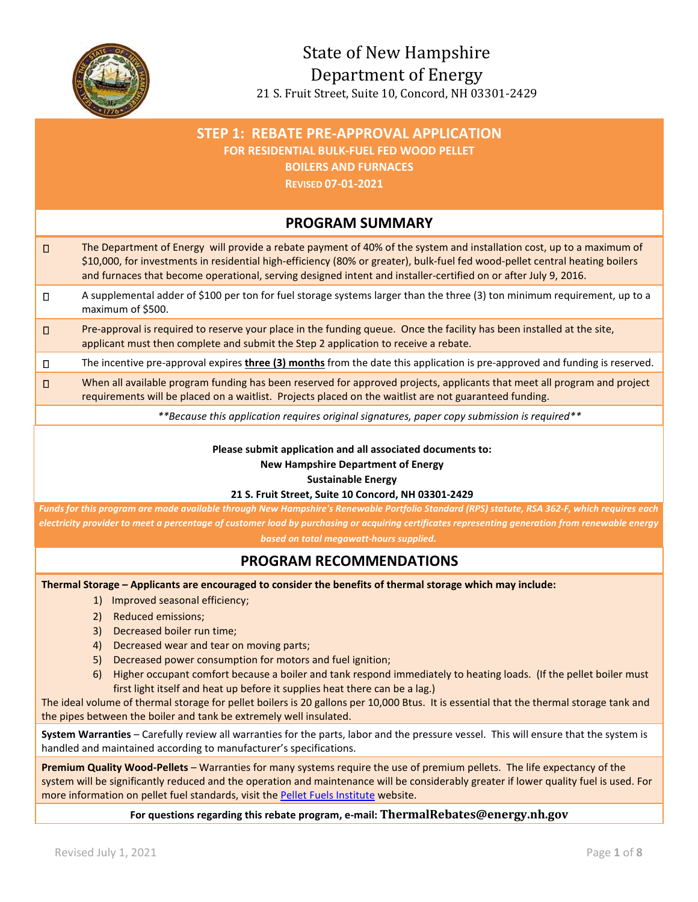

# **STEP 1: REBATE PRE-APPROVAL APPLICATION FOR RESIDENTIAL BULK-FUEL FED WOOD PELLET BOILERS AND FURNACES REVISED 07-01-2021 PROGRAM SUMMARY** The Department of Energy will provide a rebate payment of 40% of the system and installation cost, up to a maximum of \$10,000, for investments in residential high-efficiency (80% or greater), bulk-fuel fed wood-pellet central heating boilers and furnaces that become operational, serving designed intent and installer-certified on or after July 9, 2016. A supplemental adder of \$100 per ton for fuel storage systems larger than the three (3) ton minimum requirement, up to a maximum of \$500.  $\square$  Pre-approval is required to reserve your place in the funding queue. Once the facility has been installed at the site, applicant must then complete and submit the Step 2 application to receive a rebate. The incentive pre-approval expires **three (3) months** from the date this application is pre-approved and funding is reserved. □ When all available program funding has been reserved for approved projects, applicants that meet all program and project requirements will be placed on a waitlist. Projects placed on the waitlist are not guaranteed funding. *\*\*Because this application requires original signatures, paper copy submission is required\*\** **Please submit application and all associated documents to: New Hampshire Department of Energy Sustainable Energy 21 S. Fruit Street, Suite 10 Concord, NH 03301-2429** *Funds for this program are made available through New Hampshire's Renewable Portfolio Standard (RPS) statute, RSA 362-F, which requires each electricity provider to meet a percentage of customer load by purchasing or acquiring certificates representing generation from renewable energy based on total megawatt-hours supplied.* **PROGRAM RECOMMENDATIONS Thermal Storage – Applicants are encouraged to consider the benefits of thermal storage which may include:**  1) Improved seasonal efficiency; 2) Reduced emissions; 3) Decreased boiler run time; 4) Decreased wear and tear on moving parts;

- 5) Decreased power consumption for motors and fuel ignition;
- 6) Higher occupant comfort because a boiler and tank respond immediately to heating loads. (If the pellet boiler must first light itself and heat up before it supplies heat there can be a lag.)

The ideal volume of thermal storage for pellet boilers is 20 gallons per 10,000 Btus. It is essential that the thermal storage tank and the pipes between the boiler and tank be extremely well insulated.

**System Warranties** – Carefully review all warranties for the parts, labor and the pressure vessel. This will ensure that the system is handled and maintained according to manufacturer's specifications.

**Premium Quality Wood-Pellets** – Warranties for many systems require the use of premium pellets. The life expectancy of the system will be significantly reduced and the operation and maintenance will be considerably greater if lower quality fuel is used. For more information on pellet fuel standards, visit the Pellet Fuels Institute website.

### **For questions regarding this rebate program, e-mail: ThermalRebates@energy.nh.gov**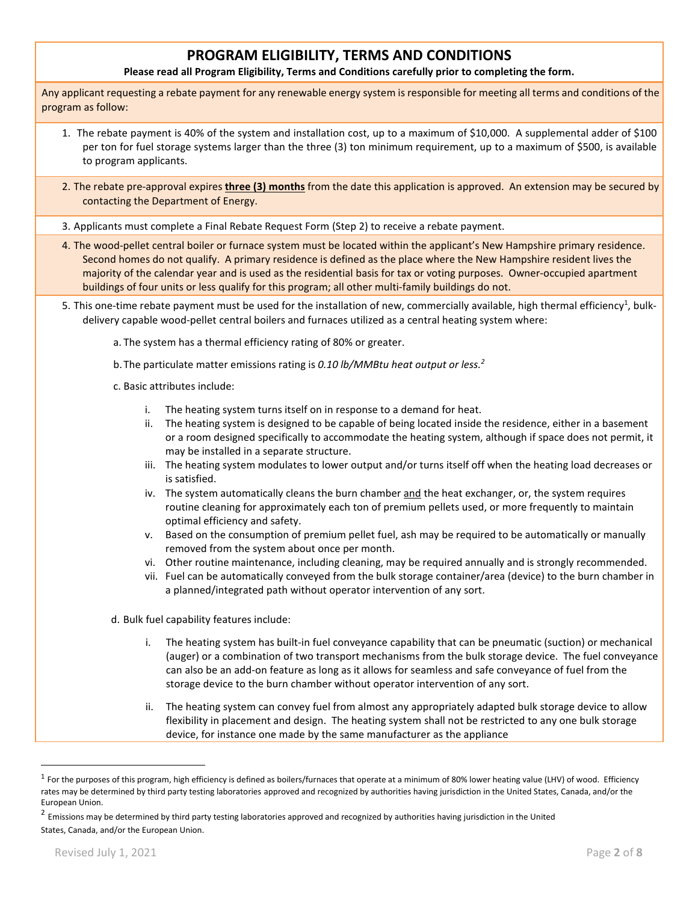## **PROGRAM ELIGIBILITY, TERMS AND CONDITIONS**

**Please read all Program Eligibility, Terms and Conditions carefully prior to completing the form.** 

Any applicant requesting a rebate payment for any renewable energy system is responsible for meeting all terms and conditions of the program as follow:

- 1. The rebate payment is 40% of the system and installation cost, up to a maximum of \$10,000. A supplemental adder of \$100 per ton for fuel storage systems larger than the three (3) ton minimum requirement, up to a maximum of \$500, is available to program applicants.
- 2. The rebate pre-approval expires **three (3) months** from the date this application is approved. An extension may be secured by contacting the Department of Energy.
- 3. Applicants must complete a Final Rebate Request Form (Step 2) to receive a rebate payment.
- 4. The wood-pellet central boiler or furnace system must be located within the applicant's New Hampshire primary residence. Second homes do not qualify. A primary residence is defined as the place where the New Hampshire resident lives the majority of the calendar year and is used as the residential basis for tax or voting purposes. Owner-occupied apartment buildings of four units or less qualify for this program; all other multi-family buildings do not.
- 5. This one-time rebate payment must be used for the installation of new, commercially available, high thermal efficiency<sup>1</sup>, bulkdelivery capable wood-pellet central boilers and furnaces utilized as a central heating system where:
	- a. The system has a thermal efficiency rating of 80% or greater.
	- b. The particulate matter emissions rating is *0.10 lb/MMBtu heat output or less.<sup>2</sup>*
	- c. Basic attributes include:
		- i. The heating system turns itself on in response to a demand for heat.
		- ii. The heating system is designed to be capable of being located inside the residence, either in a basement or a room designed specifically to accommodate the heating system, although if space does not permit, it may be installed in a separate structure.
		- iii. The heating system modulates to lower output and/or turns itself off when the heating load decreases or is satisfied.
		- iv. The system automatically cleans the burn chamber and the heat exchanger, or, the system requires routine cleaning for approximately each ton of premium pellets used, or more frequently to maintain optimal efficiency and safety.
		- v. Based on the consumption of premium pellet fuel, ash may be required to be automatically or manually removed from the system about once per month.
		- vi. Other routine maintenance, including cleaning, may be required annually and is strongly recommended.
		- vii. Fuel can be automatically conveyed from the bulk storage container/area (device) to the burn chamber in a planned/integrated path without operator intervention of any sort.
	- d. Bulk fuel capability features include:
		- i. The heating system has built-in fuel conveyance capability that can be pneumatic (suction) or mechanical (auger) or a combination of two transport mechanisms from the bulk storage device. The fuel conveyance can also be an add-on feature as long as it allows for seamless and safe conveyance of fuel from the storage device to the burn chamber without operator intervention of any sort.
		- ii. The heating system can convey fuel from almost any appropriately adapted bulk storage device to allow flexibility in placement and design. The heating system shall not be restricted to any one bulk storage device, for instance one made by the same manufacturer as the appliance

<u>.</u>

 $^1$  For the purposes of this program, high efficiency is defined as boilers/furnaces that operate at a minimum of 80% lower heating value (LHV) of wood. Efficiency rates may be determined by third party testing laboratories approved and recognized by authorities having jurisdiction in the United States, Canada, and/or the European Union.

 $^2$  Emissions may be determined by third party testing laboratories approved and recognized by authorities having jurisdiction in the United States, Canada, and/or the European Union.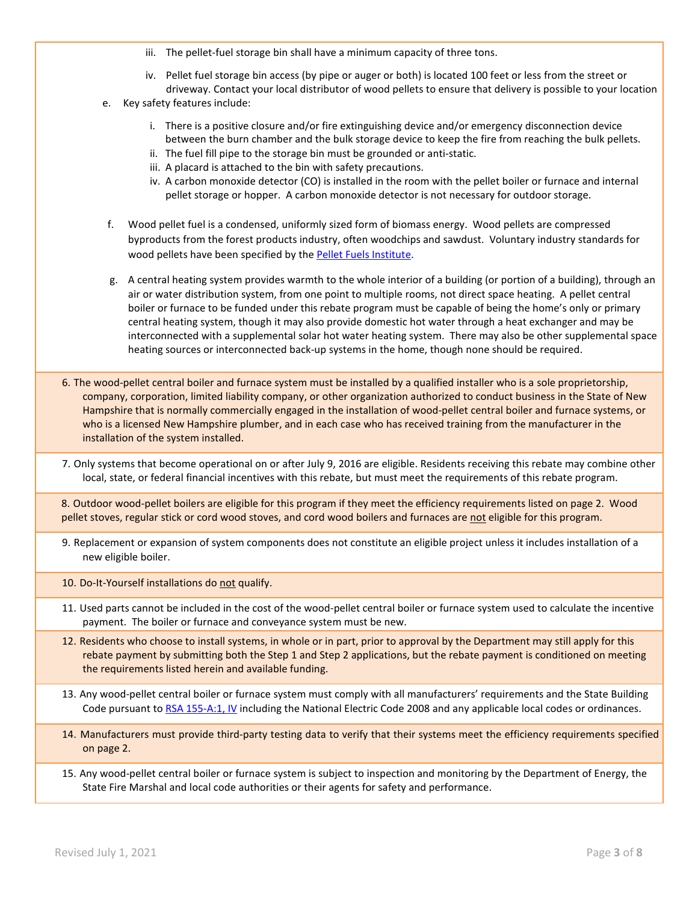- iii. The pellet-fuel storage bin shall have a minimum capacity of three tons.
- iv. Pellet fuel storage bin access (by pipe or auger or both) is located 100 feet or less from the street or driveway. Contact your local distributor of wood pellets to ensure that delivery is possible to your location
- e. Key safety features include:
	- i. There is a positive closure and/or fire extinguishing device and/or emergency disconnection device between the burn chamber and the bulk storage device to keep the fire from reaching the bulk pellets.
	- ii. The fuel fill pipe to the storage bin must be grounded or anti-static.
	- iii. A placard is attached to the bin with safety precautions.
	- iv. A carbon monoxide detector (CO) is installed in the room with the pellet boiler or furnace and internal pellet storage or hopper. A carbon monoxide detector is not necessary for outdoor storage.
- f. Wood pellet fuel is a condensed, uniformly sized form of biomass energy. Wood pellets are compressed byproducts from the forest products industry, often woodchips and sawdust. Voluntary industry standards for wood pellets have been specified by the Pellet Fuels Institute.
- g. A central heating system provides warmth to the whole interior of a building (or portion of a building), through an air or water distribution system, from one point to multiple rooms, not direct space heating. A pellet central boiler or furnace to be funded under this rebate program must be capable of being the home's only or primary central heating system, though it may also provide domestic hot water through a heat exchanger and may be interconnected with a supplemental solar hot water heating system. There may also be other supplemental space heating sources or interconnected back-up systems in the home, though none should be required.
- 6. The wood-pellet central boiler and furnace system must be installed by a qualified installer who is a sole proprietorship, company, corporation, limited liability company, or other organization authorized to conduct business in the State of New Hampshire that is normally commercially engaged in the installation of wood-pellet central boiler and furnace systems, or who is a licensed New Hampshire plumber, and in each case who has received training from the manufacturer in the installation of the system installed.
- 7. Only systems that become operational on or after July 9, 2016 are eligible. Residents receiving this rebate may combine other local, state, or federal financial incentives with this rebate, but must meet the requirements of this rebate program.

8. Outdoor wood-pellet boilers are eligible for this program if they meet the efficiency requirements listed on page 2. Wood pellet stoves, regular stick or cord wood stoves, and cord wood boilers and furnaces are not eligible for this program.

- 9. Replacement or expansion of system components does not constitute an eligible project unless it includes installation of a new eligible boiler.
- 10. Do-It-Yourself installations do not qualify.
- 11. Used parts cannot be included in the cost of the wood-pellet central boiler or furnace system used to calculate the incentive payment. The boiler or furnace and conveyance system must be new.
- 12. Residents who choose to install systems, in whole or in part, prior to approval by the Department may still apply for this rebate payment by submitting both the Step 1 and Step 2 applications, but the rebate payment is conditioned on meeting the requirements listed herein and available funding.
- 13. Any wood-pellet central boiler or furnace system must comply with all manufacturers' requirements and the State Building Code pursuant to RSA 155-A:1, IV including the National Electric Code 2008 and any applicable local codes or ordinances.
- 14. Manufacturers must provide third-party testing data to verify that their systems meet the efficiency requirements specified on page 2.
- 15. Any wood-pellet central boiler or furnace system is subject to inspection and monitoring by the Department of Energy, the State Fire Marshal and local code authorities or their agents for safety and performance.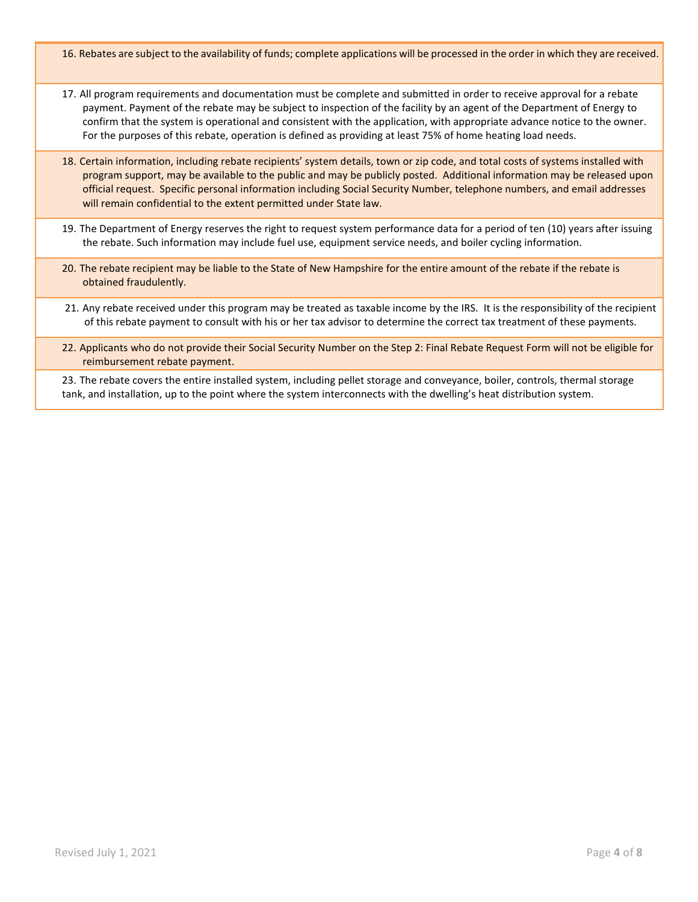16. Rebates are subject to the availability of funds; complete applications will be processed in the order in which they are received.

- 17. All program requirements and documentation must be complete and submitted in order to receive approval for a rebate payment. Payment of the rebate may be subject to inspection of the facility by an agent of the Department of Energy to confirm that the system is operational and consistent with the application, with appropriate advance notice to the owner. For the purposes of this rebate, operation is defined as providing at least 75% of home heating load needs.
- 18. Certain information, including rebate recipients' system details, town or zip code, and total costs of systems installed with program support, may be available to the public and may be publicly posted. Additional information may be released upon official request. Specific personal information including Social Security Number, telephone numbers, and email addresses will remain confidential to the extent permitted under State law.
- 19. The Department of Energy reserves the right to request system performance data for a period of ten (10) years after issuing the rebate. Such information may include fuel use, equipment service needs, and boiler cycling information.
- 20. The rebate recipient may be liable to the State of New Hampshire for the entire amount of the rebate if the rebate is obtained fraudulently.
- 21. Any rebate received under this program may be treated as taxable income by the IRS. It is the responsibility of the recipient of this rebate payment to consult with his or her tax advisor to determine the correct tax treatment of these payments.
- 22. Applicants who do not provide their Social Security Number on the Step 2: Final Rebate Request Form will not be eligible for reimbursement rebate payment.

23. The rebate covers the entire installed system, including pellet storage and conveyance, boiler, controls, thermal storage tank, and installation, up to the point where the system interconnects with the dwelling's heat distribution system.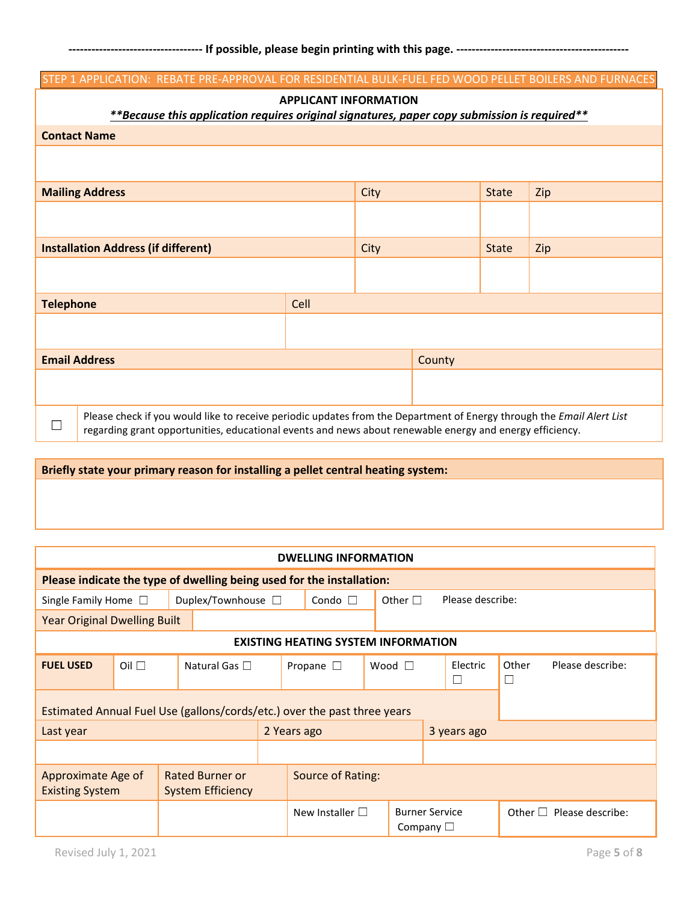|                          | STEP 1 APPLICATION: REBATE PRE-APPROVAL FOR RESIDENTIAL BULK-FUEL FED WOOD PELLET BOILERS AND FURNACES                |                              |      |        |              |     |
|--------------------------|-----------------------------------------------------------------------------------------------------------------------|------------------------------|------|--------|--------------|-----|
|                          |                                                                                                                       | <b>APPLICANT INFORMATION</b> |      |        |              |     |
|                          | **Because this application requires original signatures, paper copy submission is required**                          |                              |      |        |              |     |
|                          | <b>Contact Name</b>                                                                                                   |                              |      |        |              |     |
|                          |                                                                                                                       |                              |      |        |              |     |
|                          |                                                                                                                       |                              |      |        |              |     |
|                          | <b>Mailing Address</b>                                                                                                |                              | City |        | <b>State</b> | Zip |
|                          |                                                                                                                       |                              |      |        |              |     |
|                          |                                                                                                                       |                              |      |        |              |     |
|                          | <b>Installation Address (if different)</b>                                                                            |                              | City |        | <b>State</b> | Zip |
|                          |                                                                                                                       |                              |      |        |              |     |
|                          |                                                                                                                       |                              |      |        |              |     |
| <b>Telephone</b>         |                                                                                                                       | Cell                         |      |        |              |     |
|                          |                                                                                                                       |                              |      |        |              |     |
|                          |                                                                                                                       |                              |      |        |              |     |
|                          | <b>Email Address</b>                                                                                                  |                              |      | County |              |     |
|                          |                                                                                                                       |                              |      |        |              |     |
|                          |                                                                                                                       |                              |      |        |              |     |
|                          | Please check if you would like to receive periodic updates from the Department of Energy through the Email Alert List |                              |      |        |              |     |
| $\overline{\phantom{0}}$ | regarding grant opportunities, educational events and news about renewable energy and energy efficiency.              |                              |      |        |              |     |

## **Briefly state your primary reason for installing a pellet central heating system:**

|                                                                          |              |                                                    |                 | <b>DWELLING INFORMATION</b>                |  |                                         |  |                    |              |                  |
|--------------------------------------------------------------------------|--------------|----------------------------------------------------|-----------------|--------------------------------------------|--|-----------------------------------------|--|--------------------|--------------|------------------|
| Please indicate the type of dwelling being used for the installation:    |              |                                                    |                 |                                            |  |                                         |  |                    |              |                  |
| Single Family Home $\square$                                             |              | Duplex/Townhouse $\square$                         | Condo $\square$ |                                            |  | Other $\Box$                            |  | Please describe:   |              |                  |
| <b>Year Original Dwelling Built</b>                                      |              |                                                    |                 |                                            |  |                                         |  |                    |              |                  |
|                                                                          |              |                                                    |                 | <b>EXISTING HEATING SYSTEM INFORMATION</b> |  |                                         |  |                    |              |                  |
| <b>FUEL USED</b>                                                         | $Oil$ $\Box$ | Natural Gas $\Box$                                 |                 | Propane $\square$                          |  | Wood $\Box$                             |  | Electric<br>$\Box$ | Other<br>⊐   | Please describe: |
| Estimated Annual Fuel Use (gallons/cords/etc.) over the past three years |              |                                                    |                 |                                            |  |                                         |  |                    |              |                  |
| Last year                                                                |              |                                                    |                 | 2 Years ago                                |  |                                         |  | 3 years ago        |              |                  |
|                                                                          |              |                                                    |                 |                                            |  |                                         |  |                    |              |                  |
| Approximate Age of<br><b>Existing System</b>                             |              | <b>Rated Burner or</b><br><b>System Efficiency</b> |                 | Source of Rating:                          |  |                                         |  |                    |              |                  |
|                                                                          |              |                                                    |                 | New Installer $\square$                    |  | <b>Burner Service</b><br>Company $\Box$ |  |                    | Other $\Box$ | Please describe: |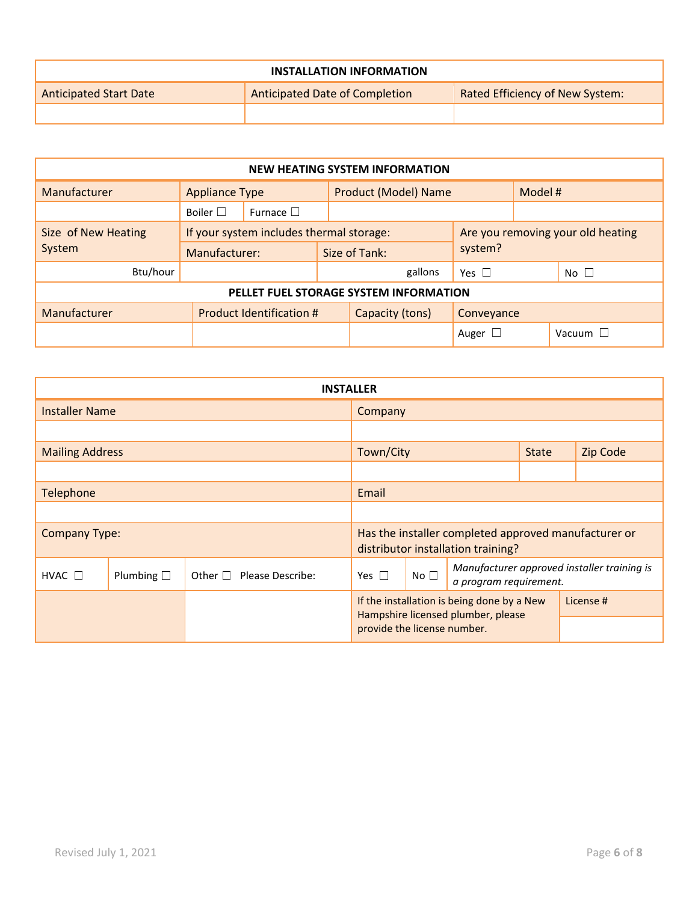|                               | <b>INSTALLATION INFORMATION</b> |                                 |
|-------------------------------|---------------------------------|---------------------------------|
| <b>Anticipated Start Date</b> | Anticipated Date of Completion  | Rated Efficiency of New System: |
|                               |                                 |                                 |

| <b>NEW HEATING SYSTEM INFORMATION</b> |                                                                               |                          |                                        |                      |                 |         |                 |  |
|---------------------------------------|-------------------------------------------------------------------------------|--------------------------|----------------------------------------|----------------------|-----------------|---------|-----------------|--|
| Manufacturer                          | <b>Appliance Type</b>                                                         |                          |                                        | Product (Model) Name |                 | Model # |                 |  |
|                                       | Boiler $\square$                                                              | Furnace $\Box$           |                                        |                      |                 |         |                 |  |
| Size of New Heating                   | If your system includes thermal storage:<br>Are you removing your old heating |                          |                                        |                      |                 |         |                 |  |
| System                                | Manufacturer:                                                                 |                          |                                        | Size of Tank:        | system?         |         |                 |  |
| Btu/hour                              |                                                                               |                          |                                        | gallons              | Yes $\square$   |         | No <sub>1</sub> |  |
|                                       |                                                                               |                          | PELLET FUEL STORAGE SYSTEM INFORMATION |                      |                 |         |                 |  |
| Manufacturer                          |                                                                               | Product Identification # |                                        | Capacity (tons)      | Conveyance      |         |                 |  |
|                                       |                                                                               |                          |                                        |                      | Auger $\square$ |         | Vacuum $\Box$   |  |

|                        |                    | <b>INSTALLER</b>              |                             |                 |                                                                                  |              |                                                      |  |  |
|------------------------|--------------------|-------------------------------|-----------------------------|-----------------|----------------------------------------------------------------------------------|--------------|------------------------------------------------------|--|--|
| <b>Installer Name</b>  |                    |                               | Company                     |                 |                                                                                  |              |                                                      |  |  |
|                        |                    |                               |                             |                 |                                                                                  |              |                                                      |  |  |
| <b>Mailing Address</b> |                    |                               | Town/City                   |                 |                                                                                  | <b>State</b> | Zip Code                                             |  |  |
|                        |                    |                               |                             |                 |                                                                                  |              |                                                      |  |  |
| Telephone              |                    |                               | Email                       |                 |                                                                                  |              |                                                      |  |  |
|                        |                    |                               |                             |                 |                                                                                  |              |                                                      |  |  |
| <b>Company Type:</b>   |                    |                               |                             |                 | distributor installation training?                                               |              | Has the installer completed approved manufacturer or |  |  |
| HVAC $\square$         | Plumbing $\square$ | Other $\Box$ Please Describe: | Yes $\Box$                  | No <sub>1</sub> | a program requirement.                                                           |              | Manufacturer approved installer training is          |  |  |
|                        |                    |                               |                             |                 | If the installation is being done by a New<br>Hampshire licensed plumber, please |              | License #                                            |  |  |
|                        |                    |                               | provide the license number. |                 |                                                                                  |              |                                                      |  |  |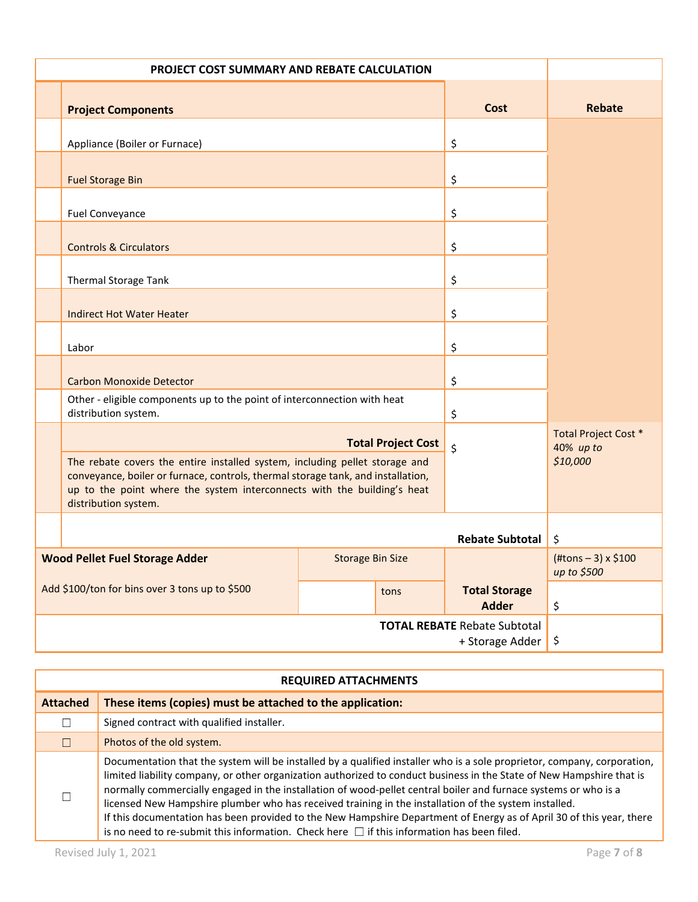| PROJECT COST SUMMARY AND REBATE CALCULATION |                                                                                                                                                                                                                                                                    |                         |                           |                                                        |                                           |
|---------------------------------------------|--------------------------------------------------------------------------------------------------------------------------------------------------------------------------------------------------------------------------------------------------------------------|-------------------------|---------------------------|--------------------------------------------------------|-------------------------------------------|
|                                             | <b>Project Components</b>                                                                                                                                                                                                                                          |                         |                           | Cost                                                   | Rebate                                    |
|                                             | Appliance (Boiler or Furnace)                                                                                                                                                                                                                                      |                         |                           | \$                                                     |                                           |
|                                             | <b>Fuel Storage Bin</b>                                                                                                                                                                                                                                            |                         |                           | \$                                                     |                                           |
|                                             | Fuel Conveyance                                                                                                                                                                                                                                                    |                         |                           | \$                                                     |                                           |
|                                             | <b>Controls &amp; Circulators</b>                                                                                                                                                                                                                                  |                         |                           | \$                                                     |                                           |
|                                             | Thermal Storage Tank                                                                                                                                                                                                                                               |                         |                           | \$                                                     |                                           |
|                                             | <b>Indirect Hot Water Heater</b>                                                                                                                                                                                                                                   |                         |                           | \$                                                     |                                           |
|                                             | Labor                                                                                                                                                                                                                                                              |                         |                           | \$                                                     |                                           |
|                                             | <b>Carbon Monoxide Detector</b>                                                                                                                                                                                                                                    |                         |                           | \$                                                     |                                           |
|                                             | Other - eligible components up to the point of interconnection with heat<br>distribution system.                                                                                                                                                                   |                         |                           | \$                                                     |                                           |
|                                             |                                                                                                                                                                                                                                                                    |                         | <b>Total Project Cost</b> | \$                                                     | <b>Total Project Cost *</b><br>40% up to  |
|                                             | The rebate covers the entire installed system, including pellet storage and<br>conveyance, boiler or furnace, controls, thermal storage tank, and installation,<br>up to the point where the system interconnects with the building's heat<br>distribution system. |                         |                           |                                                        | \$10,000                                  |
|                                             |                                                                                                                                                                                                                                                                    |                         |                           | <b>Rebate Subtotal</b>                                 | \$                                        |
|                                             | <b>Wood Pellet Fuel Storage Adder</b>                                                                                                                                                                                                                              | <b>Storage Bin Size</b> |                           |                                                        | $(\#tons - 3) \times $100$<br>up to \$500 |
|                                             | Add \$100/ton for bins over 3 tons up to \$500                                                                                                                                                                                                                     |                         | tons                      | <b>Total Storage</b><br><b>Adder</b>                   | \$                                        |
|                                             |                                                                                                                                                                                                                                                                    |                         |                           | <b>TOTAL REBATE Rebate Subtotal</b><br>+ Storage Adder | \$                                        |

|                 | <b>REQUIRED ATTACHMENTS</b>                                                                                                                                                                                                                                                                                                                                                                                                                                                                                                                                                                                                                                                                              |
|-----------------|----------------------------------------------------------------------------------------------------------------------------------------------------------------------------------------------------------------------------------------------------------------------------------------------------------------------------------------------------------------------------------------------------------------------------------------------------------------------------------------------------------------------------------------------------------------------------------------------------------------------------------------------------------------------------------------------------------|
| <b>Attached</b> | These items (copies) must be attached to the application:                                                                                                                                                                                                                                                                                                                                                                                                                                                                                                                                                                                                                                                |
|                 | Signed contract with qualified installer.                                                                                                                                                                                                                                                                                                                                                                                                                                                                                                                                                                                                                                                                |
|                 | Photos of the old system.                                                                                                                                                                                                                                                                                                                                                                                                                                                                                                                                                                                                                                                                                |
|                 | Documentation that the system will be installed by a qualified installer who is a sole proprietor, company, corporation,<br>limited liability company, or other organization authorized to conduct business in the State of New Hampshire that is<br>normally commercially engaged in the installation of wood-pellet central boiler and furnace systems or who is a<br>licensed New Hampshire plumber who has received training in the installation of the system installed.<br>If this documentation has been provided to the New Hampshire Department of Energy as of April 30 of this year, there<br>is no need to re-submit this information. Check here $\Box$ if this information has been filed. |